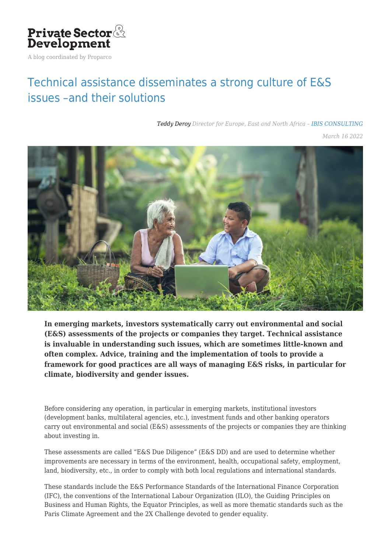

A blog coordinated by Proparco

## [Technical assistance disseminates a strong culture of E&S](https://blog.private-sector-and-development.com/2022/03/16/francais-laccompagnement-technique-diffuse-une-forte-culture-des-enjeux-es-et-de-leurs-solutions/) [issues –and their solutions](https://blog.private-sector-and-development.com/2022/03/16/francais-laccompagnement-technique-diffuse-une-forte-culture-des-enjeux-es-et-de-leurs-solutions/)

*[Teddy Deroy](https://blog.private-sector-and-development.com/author/teddy-deroy/) Director for Europe, East and North Africa – [IBIS CONSULTING](https://blog.private-sector-and-development.com/institution/ibis-consulting/)*

*March 16 2022*



**In emerging markets, investors systematically carry out environmental and social (E&S) assessments of the projects or companies they target. Technical assistance is invaluable in understanding such issues, which are sometimes little-known and often complex. Advice, training and the implementation of tools to provide a framework for good practices are all ways of managing E&S risks, in particular for climate, biodiversity and gender issues.**

Before considering any operation, in particular in emerging markets, institutional investors (development banks, multilateral agencies, etc.), investment funds and other banking operators carry out environmental and social (E&S) assessments of the projects or companies they are thinking about investing in.

These assessments are called "E&S Due Diligence" (E&S DD) and are used to determine whether improvements are necessary in terms of the environment, health, occupational safety, employment, land, biodiversity, etc., in order to comply with both local regulations and international standards.

These standards include the E&S Performance Standards of the International Finance Corporation (IFC), the conventions of the International Labour Organization (ILO), the Guiding Principles on Business and Human Rights, the Equator Principles, as well as more thematic standards such as the Paris Climate Agreement and the 2X Challenge devoted to gender equality.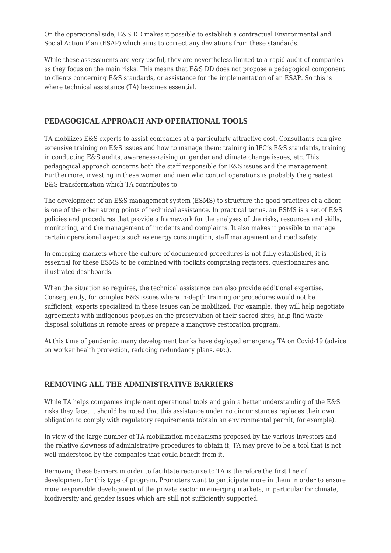On the operational side, E&S DD makes it possible to establish a contractual Environmental and Social Action Plan (ESAP) which aims to correct any deviations from these standards.

While these assessments are very useful, they are nevertheless limited to a rapid audit of companies as they focus on the main risks. This means that E&S DD does not propose a pedagogical component to clients concerning E&S standards, or assistance for the implementation of an ESAP. So this is where technical assistance (TA) becomes essential.

## **PEDAGOGICAL APPROACH AND OPERATIONAL TOOLS**

TA mobilizes E&S experts to assist companies at a particularly attractive cost. Consultants can give extensive training on E&S issues and how to manage them: training in IFC's E&S standards, training in conducting E&S audits, awareness-raising on gender and climate change issues, etc. This pedagogical approach concerns both the staff responsible for E&S issues and the management. Furthermore, investing in these women and men who control operations is probably the greatest E&S transformation which TA contributes to.

The development of an E&S management system (ESMS) to structure the good practices of a client is one of the other strong points of technical assistance. In practical terms, an ESMS is a set of E&S policies and procedures that provide a framework for the analyses of the risks, resources and skills, monitoring, and the management of incidents and complaints. It also makes it possible to manage certain operational aspects such as energy consumption, staff management and road safety.

In emerging markets where the culture of documented procedures is not fully established, it is essential for these ESMS to be combined with toolkits comprising registers, questionnaires and illustrated dashboards.

When the situation so requires, the technical assistance can also provide additional expertise. Consequently, for complex E&S issues where in-depth training or procedures would not be sufficient, experts specialized in these issues can be mobilized. For example, they will help negotiate agreements with indigenous peoples on the preservation of their sacred sites, help find waste disposal solutions in remote areas or prepare a mangrove restoration program.

At this time of pandemic, many development banks have deployed emergency TA on Covid-19 (advice on worker health protection, reducing redundancy plans, etc.).

## **REMOVING ALL THE ADMINISTRATIVE BARRIERS**

While TA helps companies implement operational tools and gain a better understanding of the E&S risks they face, it should be noted that this assistance under no circumstances replaces their own obligation to comply with regulatory requirements (obtain an environmental permit, for example).

In view of the large number of TA mobilization mechanisms proposed by the various investors and the relative slowness of administrative procedures to obtain it, TA may prove to be a tool that is not well understood by the companies that could benefit from it.

Removing these barriers in order to facilitate recourse to TA is therefore the first line of development for this type of program. Promoters want to participate more in them in order to ensure more responsible development of the private sector in emerging markets, in particular for climate, biodiversity and gender issues which are still not sufficiently supported.